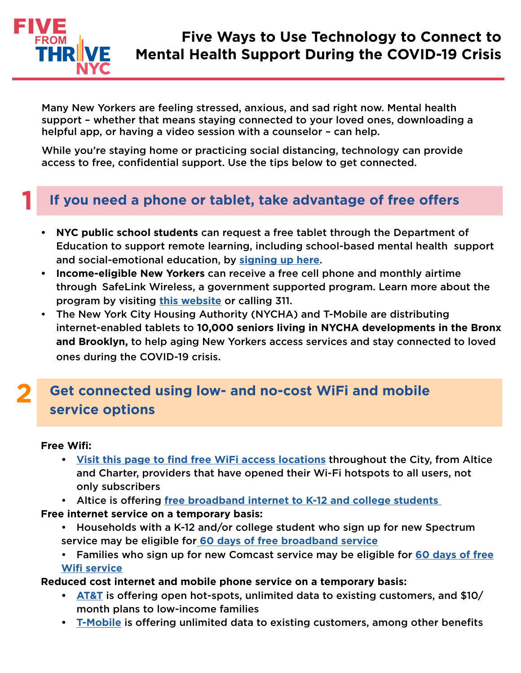

**1**

**2**

Many New Yorkers are feeling stressed, anxious, and sad right now. Mental health support – whether that means staying connected to your loved ones, downloading a helpful app, or having a video session with a counselor – can help.

While you're staying home or practicing social distancing, technology can provide access to free, confidential support. Use the tips below to get connected.

### **If you need a phone or tablet, take advantage of free offers**

- **• NYC public school students** can request a free tablet through the Department of Education to support remote learning, including school-based mental health support and social-emotional education, by **[signing up here](https://www.schools.nyc.gov/learn-at-home/ipad-distribution)**.
- **• Income-eligible New Yorkers** can receive a free cell phone and monthly airtime through SafeLink Wireless, a government supported program. Learn more about the program by visiting **[this website](https://www.safelinkwireless.com/)** or calling 311.
- The New York City Housing Authority (NYCHA) and T-Mobile are distributing internet-enabled tablets to **10,000 seniors living in NYCHA developments in the Bronx and Brooklyn,** to help aging New Yorkers access services and stay connected to loved ones during the COVID-19 crisis.

## **Get connected using low- and no-cost WiFi and mobile service options**

#### **Free Wifi:**

- **• [Visit this page to find free WiFi access locations](https://data.cityofnewyork.us/Social-Services/NYC-Wi-Fi-Hotspot-Locations/a9we-mtpn)** throughout the City, from Altice and Charter, providers that have opened their Wi-Fi hotspots to all users, not only subscribers
- Altice is offering **[free broadband internet to K-12 and college students](https://www.alticeusa.com/news/articles/feature/corporate/altice-usa-brings-free-broadband-k-12-and-college-students-during-coronavirus-pandemic)**
- **Free internet service on a temporary basis:**
	- Households with a K-12 and/or college student who sign up for new Spectrum service may be eligible for **[60 days of free broadband service](https://corporate.charter.com/newsroom/charter-to-offer-free-access-to-spectrum-broadband-and-wifi-for-60-days-for-new-K12-and-college-student-households-and-more)**
	- Families who sign up for new Comcast service may be eligible for **[60 days of free](https://corporate.comcast.com/press/releases/internet-essentials-low-income-broadband-coronavirus-pandemic) [Wifi service](https://corporate.comcast.com/press/releases/internet-essentials-low-income-broadband-coronavirus-pandemic)**

**Reduced cost internet and mobile phone service on a temporary basis:**

- **• [AT&T](https://www.att.com/shop/internet/access/#!/)** is offering open hot-spots, unlimited data to existing customers, and \$10/ month plans to low-income families
- **• [T-Mobile](https://www.t-mobile.com/brand/ongoing-updates-covid-19)** is offering unlimited data to existing customers, among other benefits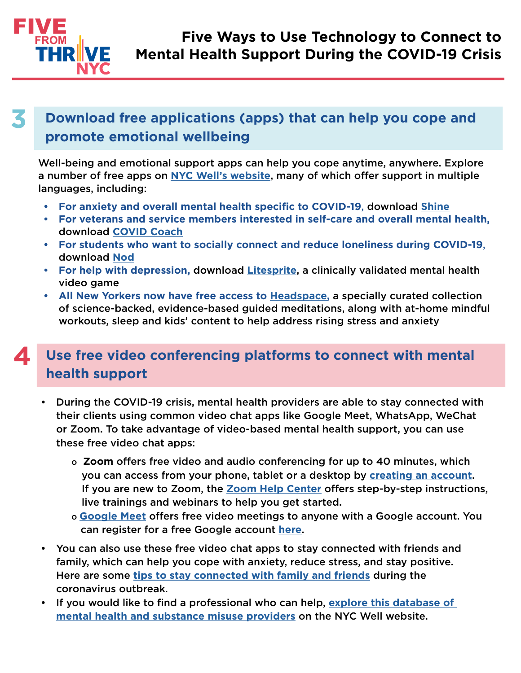

#### **3 Download free applications (apps) that can help you cope and promote emotional wellbeing**

Well-being and emotional support apps can help you cope anytime, anywhere. Explore a number of free apps on **[NYC Well's website](https://nycwell.cityofnewyork.us/en/covid-19-digital-mental-health-resources/)**, many of which offer support in multiple languages, including:

- **• For anxiety and overall mental health specific to COVID-19**, download **[Shine](https://join.shinetext.com/)**
- **• For veterans and service members interested in self-care and overall mental health,** download **[COVID Coach](https://www.ptsd.va.gov/appvid/mobile/covid_coach_app.asp)**
- **• For students who want to socially connect and reduce loneliness during COVID-19**, download **[Nod](https://heynod.com/)**
- **• For help with depression,** download **[Litesprite](https://litesprite.com/)**, a clinically validated mental health video game
- **• All New Yorkers now have free access to [Headspace](https://www.headspace.com/ny),** a specially curated collection of science-backed, evidence-based guided meditations, along with at-home mindful workouts, sleep and kids' content to help address rising stress and anxiety

#### **4 Use free video conferencing platforms to connect with mental health support**

- During the COVID-19 crisis, mental health providers are able to stay connected with their clients using common video chat apps like Google Meet, WhatsApp, WeChat or Zoom. To take advantage of video-based mental health support, you can use these free video chat apps:
	- o **Zoom** offers free video and audio conferencing for up to 40 minutes, which you can access from your phone, tablet or a desktop by **[creating an account](https://zoom.us/signin)**. If you are new to Zoom, the **[Zoom Help Center](https://support.zoom.us/hc/en-us/articles/206618765-Zoom-Video-Tutorials)** offers step-by-step instructions, live trainings and webinars to help you get started.
	- o **[Google Meet](https://meet.google.com/)** offers free video meetings to anyone with a Google account. You can register for a free Google account **[here](https://accounts.google.com/signup/v2/webcreateaccount?flowName=GlifWebSignIn&flowEntry=SignUp)**.
- You can also use these free video chat apps to stay connected with friends and family, which can help you cope with anxiety, reduce stress, and stay positive. Here are some **[tips to stay connected with family and friends](https://www1.nyc.gov/assets/doh/downloads/pdf/imm/covid-19-staying-connected.pdf)** during the coronavirus outbreak.
- If you would like to find a professional who can help, **[explore this database of](https://nycwell.cityofnewyork.us/en/find-services/)  [mental health and substance misuse providers](https://nycwell.cityofnewyork.us/en/find-services/)** on the NYC Well website.